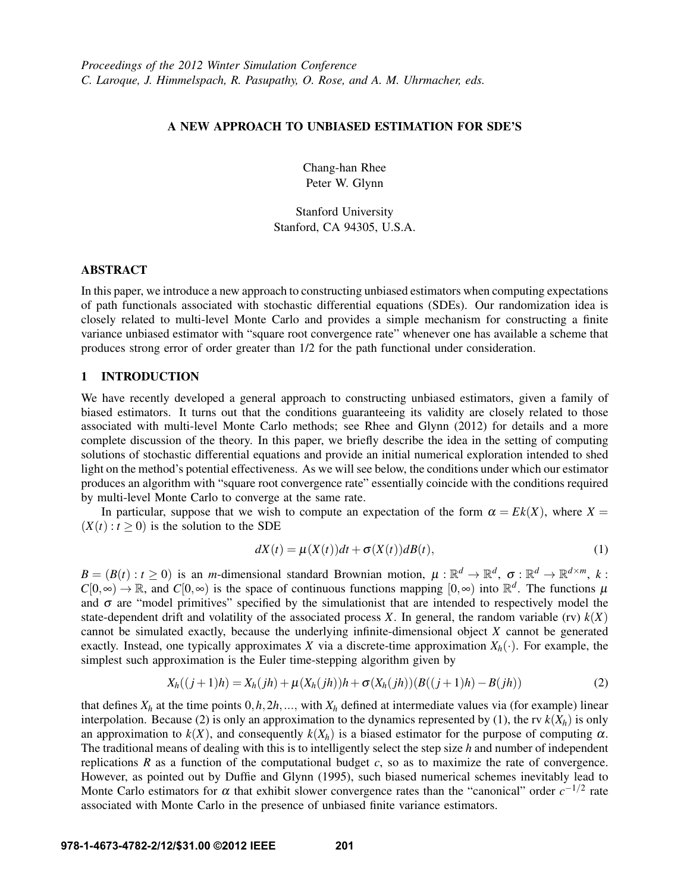## A NEW APPROACH TO UNBIASED ESTIMATION FOR SDE'S

Chang-han Rhee Peter W. Glynn

Stanford University Stanford, CA 94305, U.S.A.

### ABSTRACT

In this paper, we introduce a new approach to constructing unbiased estimators when computing expectations of path functionals associated with stochastic differential equations (SDEs). Our randomization idea is closely related to multi-level Monte Carlo and provides a simple mechanism for constructing a finite variance unbiased estimator with "square root convergence rate" whenever one has available a scheme that produces strong error of order greater than 1/2 for the path functional under consideration.

## 1 INTRODUCTION

We have recently developed a general approach to constructing unbiased estimators, given a family of biased estimators. It turns out that the conditions guaranteeing its validity are closely related to those associated with multi-level Monte Carlo methods; see Rhee and Glynn (2012) for details and a more complete discussion of the theory. In this paper, we briefly describe the idea in the setting of computing solutions of stochastic differential equations and provide an initial numerical exploration intended to shed light on the method's potential effectiveness. As we will see below, the conditions under which our estimator produces an algorithm with "square root convergence rate" essentially coincide with the conditions required by multi-level Monte Carlo to converge at the same rate.

In particular, suppose that we wish to compute an expectation of the form  $\alpha = Ek(X)$ , where  $X =$  $(X(t): t > 0)$  is the solution to the SDE

$$
dX(t) = \mu(X(t))dt + \sigma(X(t))dB(t),
$$
\n(1)

 $B = (B(t) : t \ge 0)$  is an *m*-dimensional standard Brownian motion,  $\mu : \mathbb{R}^d \to \mathbb{R}^d$ ,  $\sigma : \mathbb{R}^d \to \mathbb{R}^{d \times m}$ , k:  $C[0,\infty) \to \mathbb{R}$ , and  $C[0,\infty)$  is the space of continuous functions mapping  $[0,\infty)$  into  $\mathbb{R}^d$ . The functions  $\mu$ and  $\sigma$  are "model primitives" specified by the simulationist that are intended to respectively model the state-dependent drift and volatility of the associated process *X*. In general, the random variable (rv)  $k(X)$ cannot be simulated exactly, because the underlying infinite-dimensional object *X* cannot be generated exactly. Instead, one typically approximates *X* via a discrete-time approximation  $X_h(\cdot)$ . For example, the simplest such approximation is the Euler time-stepping algorithm given by

$$
X_h((j+1)h) = X_h(jh) + \mu(X_h(jh))h + \sigma(X_h(jh))(B((j+1)h) - B(jh))
$$
\n(2)

that defines  $X_h$  at the time points  $0, h, 2h, \ldots$ , with  $X_h$  defined at intermediate values via (for example) linear interpolation. Because (2) is only an approximation to the dynamics represented by (1), the rv  $k(X_h)$  is only an approximation to  $k(X)$ , and consequently  $k(X_h)$  is a biased estimator for the purpose of computing  $\alpha$ . The traditional means of dealing with this is to intelligently select the step size *h* and number of independent replications *R* as a function of the computational budget *c*, so as to maximize the rate of convergence. However, as pointed out by Duffie and Glynn (1995), such biased numerical schemes inevitably lead to Monte Carlo estimators for  $\alpha$  that exhibit slower convergence rates than the "canonical" order  $c^{-1/2}$  rate associated with Monte Carlo in the presence of unbiased finite variance estimators.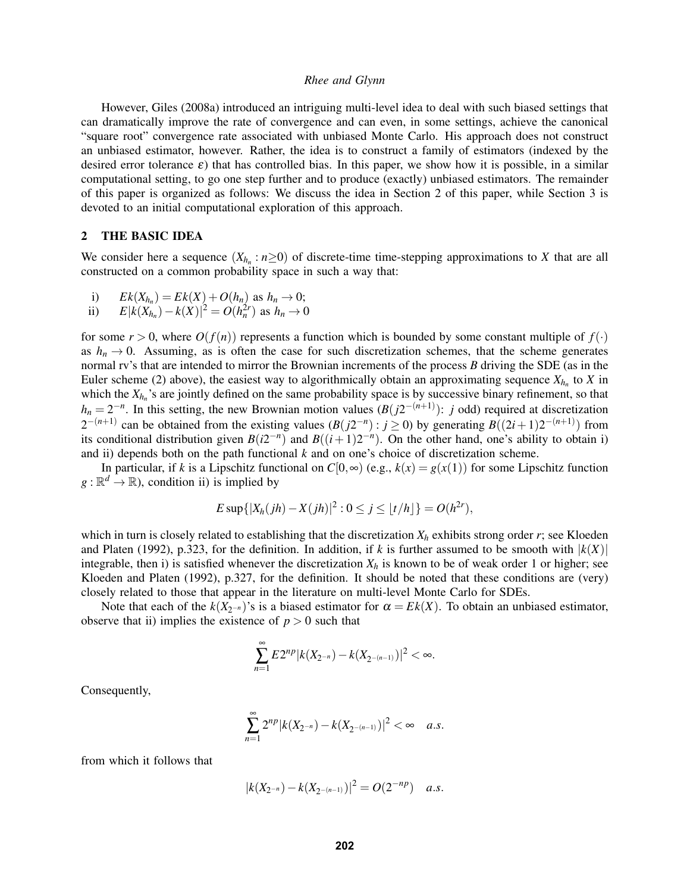However, Giles (2008a) introduced an intriguing multi-level idea to deal with such biased settings that can dramatically improve the rate of convergence and can even, in some settings, achieve the canonical "square root" convergence rate associated with unbiased Monte Carlo. His approach does not construct an unbiased estimator, however. Rather, the idea is to construct a family of estimators (indexed by the desired error tolerance  $\varepsilon$ ) that has controlled bias. In this paper, we show how it is possible, in a similar computational setting, to go one step further and to produce (exactly) unbiased estimators. The remainder of this paper is organized as follows: We discuss the idea in Section 2 of this paper, while Section 3 is devoted to an initial computational exploration of this approach.

### 2 THE BASIC IDEA

We consider here a sequence  $(X_{h_n}: n \geq 0)$  of discrete-time time-stepping approximations to *X* that are all constructed on a common probability space in such a way that:

i)  $Ek(X_{h_n}) = Ek(X) + O(h_n)$  as  $h_n \to 0$ ;<br> *F*  $|k(X_{h_n}) - k(X)|^2 = O(h^{2r})$  as  $h \to 0$ 

ii) 
$$
E|k(X_{h_n}) - k(X)|^2 = O(h_n^{2r})
$$
 as  $h_n \to 0$ 

for some  $r > 0$ , where  $O(f(n))$  represents a function which is bounded by some constant multiple of  $f(\cdot)$ as  $h_n \to 0$ . Assuming, as is often the case for such discretization schemes, that the scheme generates normal rv's that are intended to mirror the Brownian increments of the process *B* driving the SDE (as in the Euler scheme (2) above), the easiest way to algorithmically obtain an approximating sequence  $X_{h_n}$  to  $X$  in which the  $X_{h_n}$ 's are jointly defined on the same probability space is by successive binary refinement, so that  $h_n = 2^{-n}$ . In this setting, the new Brownian motion values ( $B(j2^{-(n+1)})$ : *j* odd) required at discretization  $2^{-(n+1)}$  can be obtained from the existing values  $(B(j2^{-n}): j \ge 0)$  by generating  $B((2i+1)2^{-(n+1)})$  from its conditional distribution given  $B(i2^{-n})$  and  $B((i+1)2^{-n})$ . On the other hand, one's ability to obtain i) and ii) depends both on the path functional  $k$  and on one's choice of discretization scheme.

In particular, if *k* is a Lipschitz functional on  $C[0, \infty)$  (e.g.,  $k(x) = g(x(1))$  for some Lipschitz function  $g : \mathbb{R}^d \to \mathbb{R}$ , condition ii) is implied by

$$
E \sup\{|X_h(jh) - X(jh)|^2 : 0 \le j \le \lfloor t/h \rfloor\} = O(h^{2r}),
$$

which in turn is closely related to establishing that the discretization  $X_h$  exhibits strong order  $r$ ; see Kloeden and Platen (1992), p.323, for the definition. In addition, if *k* is further assumed to be smooth with  $|k(X)|$ integrable, then i) is satisfied whenever the discretization  $X_h$  is known to be of weak order 1 or higher; see Kloeden and Platen (1992), p.327, for the definition. It should be noted that these conditions are (very) closely related to those that appear in the literature on multi-level Monte Carlo for SDEs.

Note that each of the  $k(X_{2^{-n}})$ 's is a biased estimator for  $\alpha = Ek(X)$ . To obtain an unbiased estimator, observe that ii) implies the existence of  $p > 0$  such that

$$
\sum_{n=1}^{\infty} E2^{np} |k(X_{2^{-n}}) - k(X_{2^{-(n-1)}})|^2 < \infty.
$$

Consequently,

$$
\sum_{n=1}^{\infty} 2^{np} |k(X_{2^{-n}}) - k(X_{2^{-(n-1)}})|^2 < \infty \quad a.s.
$$

from which it follows that

$$
|k(X_{2^{-n}})-k(X_{2^{-(n-1)}})|^2=O(2^{-np}) \quad a.s.
$$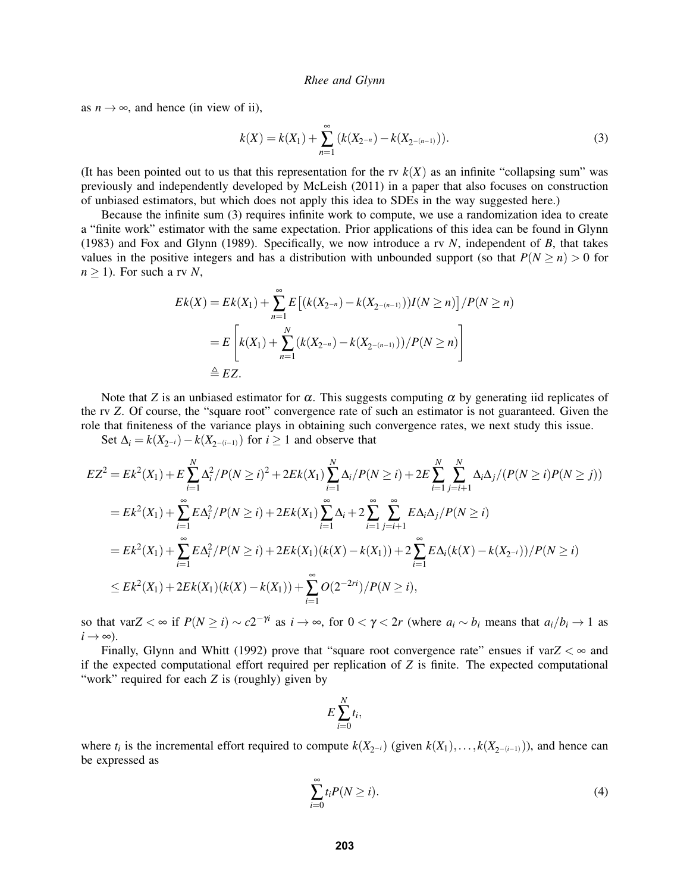as  $n \rightarrow \infty$ , and hence (in view of ii),

$$
k(X) = k(X_1) + \sum_{n=1}^{\infty} (k(X_{2^{-n}}) - k(X_{2^{-(n-1)}})).
$$
\n(3)

(It has been pointed out to us that this representation for the rv  $k(X)$  as an infinite "collapsing sum" was previously and independently developed by McLeish (2011) in a paper that also focuses on construction of unbiased estimators, but which does not apply this idea to SDEs in the way suggested here.)

Because the infinite sum (3) requires infinite work to compute, we use a randomization idea to create a "finite work" estimator with the same expectation. Prior applications of this idea can be found in Glynn (1983) and Fox and Glynn (1989). Specifically, we now introduce a rv *N*, independent of *B*, that takes values in the positive integers and has a distribution with unbounded support (so that  $P(N \ge n) > 0$  for  $n \geq 1$ ). For such a rv *N*,

$$
Ek(X) = Ek(X_1) + \sum_{n=1}^{\infty} E\left[ (k(X_{2^{-n}}) - k(X_{2^{-(n-1)}}))I(N \ge n) \right] / P(N \ge n)
$$
  
= 
$$
E\left[ k(X_1) + \sum_{n=1}^{N} (k(X_{2^{-n}}) - k(X_{2^{-(n-1)}})) / P(N \ge n) \right]
$$
  

$$
\triangleq EZ.
$$

Note that *Z* is an unbiased estimator for  $\alpha$ . This suggests computing  $\alpha$  by generating iid replicates of the rv *Z*. Of course, the "square root" convergence rate of such an estimator is not guaranteed. Given the role that finiteness of the variance plays in obtaining such convergence rates, we next study this issue.

Set  $\Delta_i = k(X_{2^{-i}}) - k(X_{2^{-(i-1)}})$  for  $i \ge 1$  and observe that

$$
EZ^{2} = Ek^{2}(X_{1}) + E \sum_{i=1}^{N} \Delta_{i}^{2} / P(N \geq i)^{2} + 2Ek(X_{1}) \sum_{i=1}^{N} \Delta_{i} / P(N \geq i) + 2E \sum_{i=1}^{N} \sum_{j=i+1}^{N} \Delta_{i} \Delta_{j} / (P(N \geq i)P(N \geq j))
$$
  
\n
$$
= Ek^{2}(X_{1}) + \sum_{i=1}^{\infty} E\Delta_{i}^{2} / P(N \geq i) + 2Ek(X_{1}) \sum_{i=1}^{\infty} \Delta_{i} + 2 \sum_{i=1}^{\infty} \sum_{j=i+1}^{\infty} E\Delta_{i} \Delta_{j} / P(N \geq i)
$$
  
\n
$$
= Ek^{2}(X_{1}) + \sum_{i=1}^{\infty} E\Delta_{i}^{2} / P(N \geq i) + 2Ek(X_{1}) (k(X) - k(X_{1})) + 2 \sum_{i=1}^{\infty} E\Delta_{i} (k(X) - k(X_{2-i})) / P(N \geq i)
$$
  
\n
$$
\leq Ek^{2}(X_{1}) + 2Ek(X_{1}) (k(X) - k(X_{1})) + \sum_{i=1}^{\infty} O(2^{-2ri}) / P(N \geq i),
$$

so that var $Z < \infty$  if  $P(N \ge i) \sim c2^{-\gamma i}$  as  $i \to \infty$ , for  $0 < \gamma < 2r$  (where  $a_i \sim b_i$  means that  $a_i/b_i \to 1$  as  $i \rightarrow \infty$ ).

Finally, Glynn and Whitt (1992) prove that "square root convergence rate" ensues if var $Z < \infty$  and if the expected computational effort required per replication of *Z* is finite. The expected computational "work" required for each *Z* is (roughly) given by

$$
E\sum_{i=0}^N t_i,
$$

where  $t_i$  is the incremental effort required to compute  $k(X_{2^{-i}})$  (given  $k(X_1),...,k(X_{2^{-(i-1)}})$ ), and hence can be expressed as

$$
\sum_{i=0}^{\infty} t_i P(N \ge i). \tag{4}
$$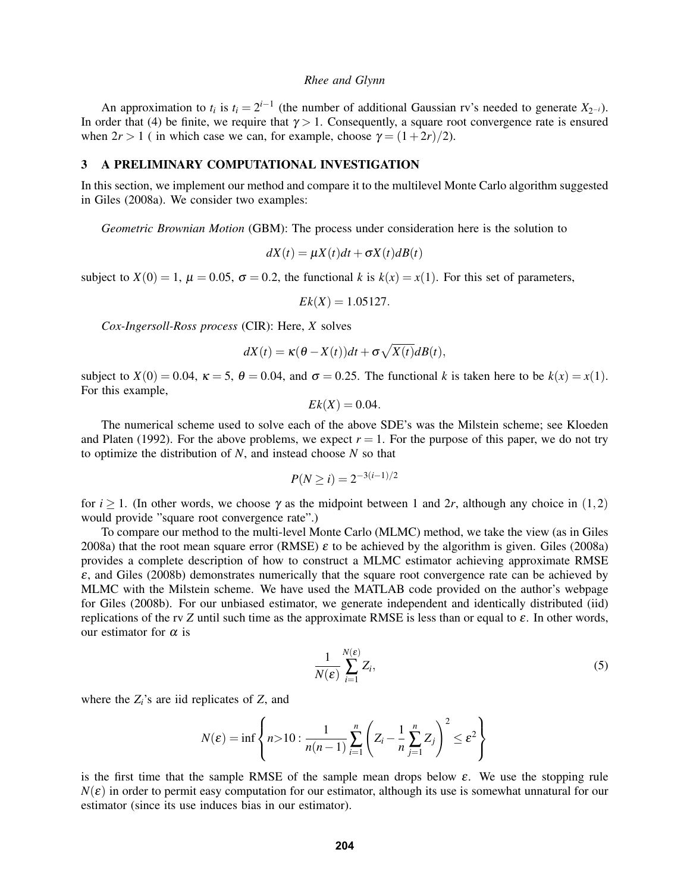An approximation to  $t_i$  is  $t_i = 2^{i-1}$  (the number of additional Gaussian rv's needed to generate  $X_{2^{-i}}$ ). In order that (4) be finite, we require that  $\gamma > 1$ . Consequently, a square root convergence rate is ensured when  $2r > 1$  ( in which case we can, for example, choose  $\gamma = (1+2r)/2$ ).

## 3 A PRELIMINARY COMPUTATIONAL INVESTIGATION

In this section, we implement our method and compare it to the multilevel Monte Carlo algorithm suggested in Giles (2008a). We consider two examples:

*Geometric Brownian Motion* (GBM): The process under consideration here is the solution to

$$
dX(t) = \mu X(t)dt + \sigma X(t)dB(t)
$$

subject to  $X(0) = 1$ ,  $\mu = 0.05$ ,  $\sigma = 0.2$ , the functional *k* is  $k(x) = x(1)$ . For this set of parameters,

$$
Ek(X) = 1.05127.
$$

*Cox-Ingersoll-Ross process* (CIR): Here, *X* solves

$$
dX(t) = \kappa(\theta - X(t))dt + \sigma \sqrt{X(t)}dB(t),
$$

subject to  $X(0) = 0.04$ ,  $\kappa = 5$ ,  $\theta = 0.04$ , and  $\sigma = 0.25$ . The functional *k* is taken here to be  $k(x) = x(1)$ . For this example,

$$
Ek(X) = 0.04.
$$

The numerical scheme used to solve each of the above SDE's was the Milstein scheme; see Kloeden and Platen (1992). For the above problems, we expect  $r = 1$ . For the purpose of this paper, we do not try to optimize the distribution of *N*, and instead choose *N* so that

$$
P(N \ge i) = 2^{-3(i-1)/2}
$$

for  $i \ge 1$ . (In other words, we choose  $\gamma$  as the midpoint between 1 and 2r, although any choice in (1,2) would provide "square root convergence rate".)

To compare our method to the multi-level Monte Carlo (MLMC) method, we take the view (as in Giles 2008a) that the root mean square error (RMSE) ε to be achieved by the algorithm is given. Giles (2008a) provides a complete description of how to construct a MLMC estimator achieving approximate RMSE  $\varepsilon$ , and Giles (2008b) demonstrates numerically that the square root convergence rate can be achieved by MLMC with the Milstein scheme. We have used the MATLAB code provided on the author's webpage for Giles (2008b). For our unbiased estimator, we generate independent and identically distributed (iid) replications of the rv *Z* until such time as the approximate RMSE is less than or equal to  $\varepsilon$ . In other words, our estimator for  $\alpha$  is

$$
\frac{1}{N(\varepsilon)}\sum_{i=1}^{N(\varepsilon)}Z_i,\tag{5}
$$

where the *Zi*'s are iid replicates of *Z*, and

$$
N(\varepsilon) = \inf \left\{ n > 10 : \frac{1}{n(n-1)} \sum_{i=1}^{n} \left( Z_i - \frac{1}{n} \sum_{j=1}^{n} Z_j \right)^2 \le \varepsilon^2 \right\}
$$

is the first time that the sample RMSE of the sample mean drops below  $\varepsilon$ . We use the stopping rule  $N(\varepsilon)$  in order to permit easy computation for our estimator, although its use is somewhat unnatural for our estimator (since its use induces bias in our estimator).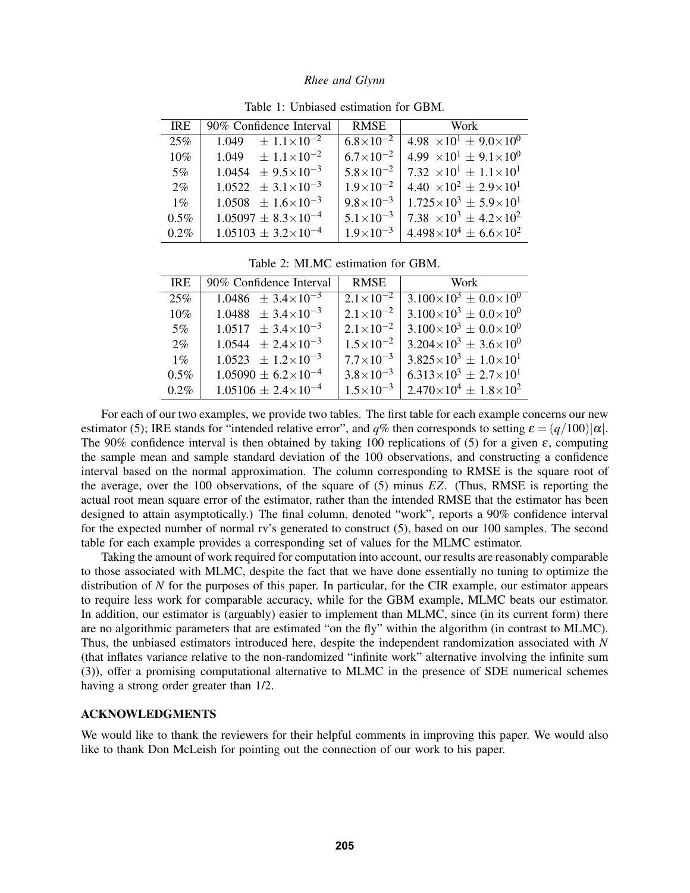| <b>IRE</b> | 90% Confidence Interval          | RMSE                 | Work                                       |
|------------|----------------------------------|----------------------|--------------------------------------------|
| 25%        | $1.049 \pm 1.1 \times 10^{-2}$   | $6.8\times10^{-2}$   | 4.98 $\times 10^{1} \pm 9.0 \times 10^{0}$ |
| $10\%$     | $1.049 \pm 1.1 \times 10^{-2}$   | $6.7\times10^{-2}$   | $4.99 \times 10^{1} \pm 9.1 \times 10^{0}$ |
| $5\%$      | $1.0454 \pm 9.5 \times 10^{-3}$  | $5.8\times10^{-2}$   | 7.32 $\times 10^{1} \pm 1.1 \times 10^{1}$ |
| $2\%$      | $1.0522 \pm 3.1 \times 10^{-3}$  | $1.9 \times 10^{-2}$ | $4.40 \times 10^{2} \pm 2.9 \times 10^{1}$ |
| $1\%$      | $1.0508 \pm 1.6 \times 10^{-3}$  | $9.8\times10^{-3}$   | $1.725 \times 10^3 \pm 5.9 \times 10^1$    |
| $0.5\%$    | $1.05097 \pm 8.3 \times 10^{-4}$ | $5.1 \times 10^{-3}$ | $7.38 \times 10^3 \pm 4.2 \times 10^2$     |
| $0.2\%$    | $1.05103 \pm 3.2 \times 10^{-4}$ | $1.9 \times 10^{-3}$ | $4.498\times10^4 \pm 6.6\times10^2$        |

Table 1: Unbiased estimation for GBM.

Table 2: MLMC estimation for GBM.

| <b>IRE</b> | 90% Confidence Interval          | <b>RMSE</b>          | Work                                    |
|------------|----------------------------------|----------------------|-----------------------------------------|
| 25%        | $1.0486 \pm 3.4 \times 10^{-3}$  | $2.1\times10^{-2}$   | $3.100\times10^3 \pm 0.0\times10^0$     |
| 10%        | $1.0488 \pm 3.4 \times 10^{-3}$  | $2.1 \times 10^{-2}$ | $3.100\times10^3 \pm 0.0\times10^0$     |
| $5\%$      | $1.0517 \pm 3.4 \times 10^{-3}$  | $2.1 \times 10^{-2}$ | $3.100\times10^3 \pm 0.0\times10^0$     |
| $2\%$      | $1.0544 \pm 2.4 \times 10^{-3}$  | $1.5 \times 10^{-2}$ | $3.204\times10^3 \pm 3.6\times10^0$     |
| $1\%$      | $1.0523 \pm 1.2 \times 10^{-3}$  | $7.7\times10^{-3}$   | $3.825 \times 10^3 \pm 1.0 \times 10^1$ |
| $0.5\%$    | $1.05090 \pm 6.2 \times 10^{-4}$ | $3.8 \times 10^{-3}$ | $6.313\times10^{3} \pm 2.7\times10^{1}$ |
| $0.2\%$    | $1.05106 \pm 2.4 \times 10^{-4}$ | $1.5 \times 10^{-3}$ | $2.470\times10^4 \pm 1.8\times10^2$     |

For each of our two examples, we provide two tables. The first table for each example concerns our new estimator (5); IRE stands for "intended relative error", and  $q\%$  then corresponds to setting  $\varepsilon = (q/100)|\alpha|$ . The 90% confidence interval is then obtained by taking 100 replications of (5) for a given  $\varepsilon$ , computing the sample mean and sample standard deviation of the 100 observations, and constructing a confidence interval based on the normal approximation. The column corresponding to RMSE is the square root of the average, over the 100 observations, of the square of (5) minus *EZ*. (Thus, RMSE is reporting the actual root mean square error of the estimator, rather than the intended RMSE that the estimator has been designed to attain asymptotically.) The final column, denoted "work", reports a 90% confidence interval for the expected number of normal rv's generated to construct (5), based on our 100 samples. The second table for each example provides a corresponding set of values for the MLMC estimator.

Taking the amount of work required for computation into account, our results are reasonably comparable to those associated with MLMC, despite the fact that we have done essentially no tuning to optimize the distribution of *N* for the purposes of this paper. In particular, for the CIR example, our estimator appears to require less work for comparable accuracy, while for the GBM example, MLMC beats our estimator. In addition, our estimator is (arguably) easier to implement than MLMC, since (in its current form) there are no algorithmic parameters that are estimated "on the fly" within the algorithm (in contrast to MLMC). Thus, the unbiased estimators introduced here, despite the independent randomization associated with *N* (that inflates variance relative to the non-randomized "infinite work" alternative involving the infinite sum (3)), offer a promising computational alternative to MLMC in the presence of SDE numerical schemes having a strong order greater than 1/2.

#### ACKNOWLEDGMENTS

We would like to thank the reviewers for their helpful comments in improving this paper. We would also like to thank Don McLeish for pointing out the connection of our work to his paper.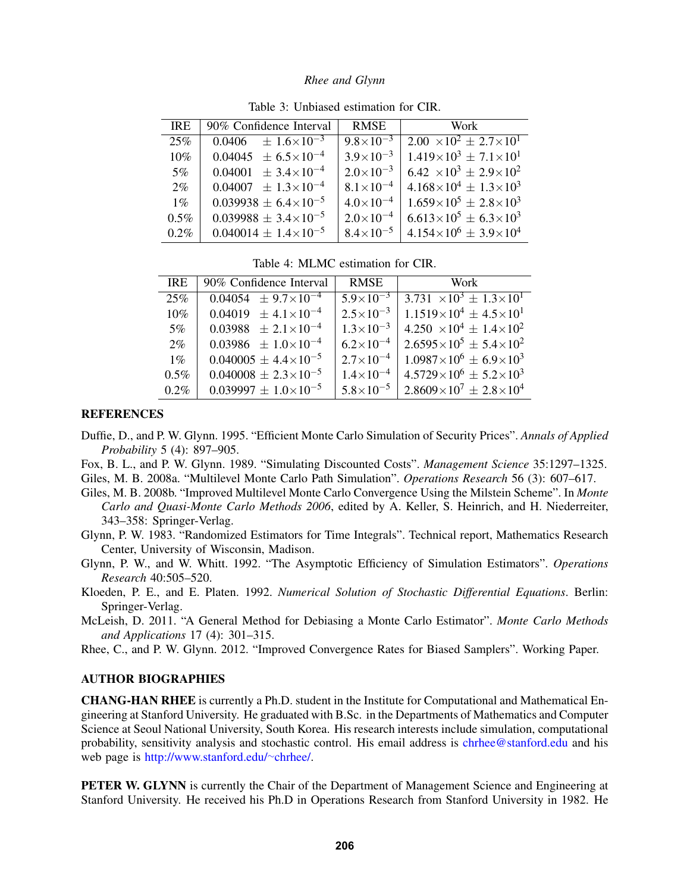| <b>IRE</b> | 90% Confidence Interval           | <b>RMSE</b>          | Work                                       |
|------------|-----------------------------------|----------------------|--------------------------------------------|
| 25%        | $0.0406 \pm 1.6 \times 10^{-3}$   | $9.8 \times 10^{-3}$ | $2.00 \times 10^{2} \pm 2.7 \times 10^{1}$ |
| 10%        | $0.04045 \pm 6.5 \times 10^{-4}$  | $3.9 \times 10^{-3}$ | $1.419\times10^3 \pm 7.1\times10^1$        |
| $5\%$      | $0.04001 \pm 3.4 \times 10^{-4}$  | $2.0\times10^{-3}$   | $6.42 \times 10^3 \pm 2.9 \times 10^2$     |
| $2\%$      | $0.04007 \pm 1.3 \times 10^{-4}$  | $8.1 \times 10^{-4}$ | $4.168\times10^{4} \pm 1.3\times10^{3}$    |
| $1\%$      | $0.039938 \pm 6.4 \times 10^{-5}$ | $4.0\times10^{-4}$   | $1.659\times10^5 \pm 2.8\times10^3$        |
| $0.5\%$    | $0.039988 \pm 3.4 \times 10^{-5}$ | $2.0\times10^{-4}$   | $6.613\times10^5 \pm 6.3\times10^3$        |
| $0.2\%$    | $0.040014 \pm 1.4 \times 10^{-5}$ | $8.4\times10^{-5}$   | $4.154\times10^{6} \pm 3.9\times10^{4}$    |

Table 3: Unbiased estimation for CIR.

Table 4: MLMC estimation for CIR.

| <b>IRE</b> | 90% Confidence Interval           | <b>RMSE</b>                    | Work                                              |
|------------|-----------------------------------|--------------------------------|---------------------------------------------------|
| 25%        | $0.04054 \pm 9.7 \times 10^{-4}$  | $\frac{1}{5.9 \times 10^{-3}}$ | $\frac{3.731 \times 10^3 \pm 1.3 \times 10^1}{2}$ |
| $10\%$     | $0.04019 \pm 4.1 \times 10^{-4}$  | $2.5 \times 10^{-3}$           | $1.1519\times10^{4} \pm 4.5\times10^{1}$          |
| $5\%$      | $0.03988 \pm 2.1 \times 10^{-4}$  | $1.3 \times 10^{-3}$           | $4.250 \times 10^4 \pm 1.4 \times 10^2$           |
| $2\%$      | $0.03986 \pm 1.0 \times 10^{-4}$  | $6.2\times10^{-4}$             | $2.6595 \times 10^5 \pm 5.4 \times 10^2$          |
| $1\%$      | $0.040005 \pm 4.4 \times 10^{-5}$ | $2.7\times10^{-4}$             | $1.0987\times10^{6} \pm 6.9\times10^{3}$          |
| $0.5\%$    | $0.040008 \pm 2.3 \times 10^{-5}$ | $1.4\times10^{-4}$             | $4.5729\times10^{6} \pm 5.2\times10^{3}$          |
| $0.2\%$    | $0.039997 \pm 1.0 \times 10^{-5}$ | $5.8\times10^{-5}$             | $2.8609\times10^{7} \pm 2.8\times10^{4}$          |

### **REFERENCES**

- Duffie, D., and P. W. Glynn. 1995. "Efficient Monte Carlo Simulation of Security Prices". *Annals of Applied Probability* 5 (4): 897–905.
- Fox, B. L., and P. W. Glynn. 1989. "Simulating Discounted Costs". *Management Science* 35:1297–1325.

Giles, M. B. 2008a. "Multilevel Monte Carlo Path Simulation". *Operations Research* 56 (3): 607–617.

- Giles, M. B. 2008b. "Improved Multilevel Monte Carlo Convergence Using the Milstein Scheme". In *Monte Carlo and Quasi-Monte Carlo Methods 2006*, edited by A. Keller, S. Heinrich, and H. Niederreiter, 343–358: Springer-Verlag.
- Glynn, P. W. 1983. "Randomized Estimators for Time Integrals". Technical report, Mathematics Research Center, University of Wisconsin, Madison.
- Glynn, P. W., and W. Whitt. 1992. "The Asymptotic Efficiency of Simulation Estimators". *Operations Research* 40:505–520.
- Kloeden, P. E., and E. Platen. 1992. *Numerical Solution of Stochastic Differential Equations*. Berlin: Springer-Verlag.
- McLeish, D. 2011. "A General Method for Debiasing a Monte Carlo Estimator". *Monte Carlo Methods and Applications* 17 (4): 301–315.
- Rhee, C., and P. W. Glynn. 2012. "Improved Convergence Rates for Biased Samplers". Working Paper.

### AUTHOR BIOGRAPHIES

CHANG-HAN RHEE is currently a Ph.D. student in the Institute for Computational and Mathematical Engineering at Stanford University. He graduated with B.Sc. in the Departments of Mathematics and Computer Science at Seoul National University, South Korea. His research interests include simulation, computational probability, sensitivity analysis and stochastic control. His email address is chrhee@stanford.edu and his web page is http://www.stanford.edu/∼chrhee/.

PETER W. GLYNN is currently the Chair of the Department of Management Science and Engineering at Stanford University. He received his Ph.D in Operations Research from Stanford University in 1982. He